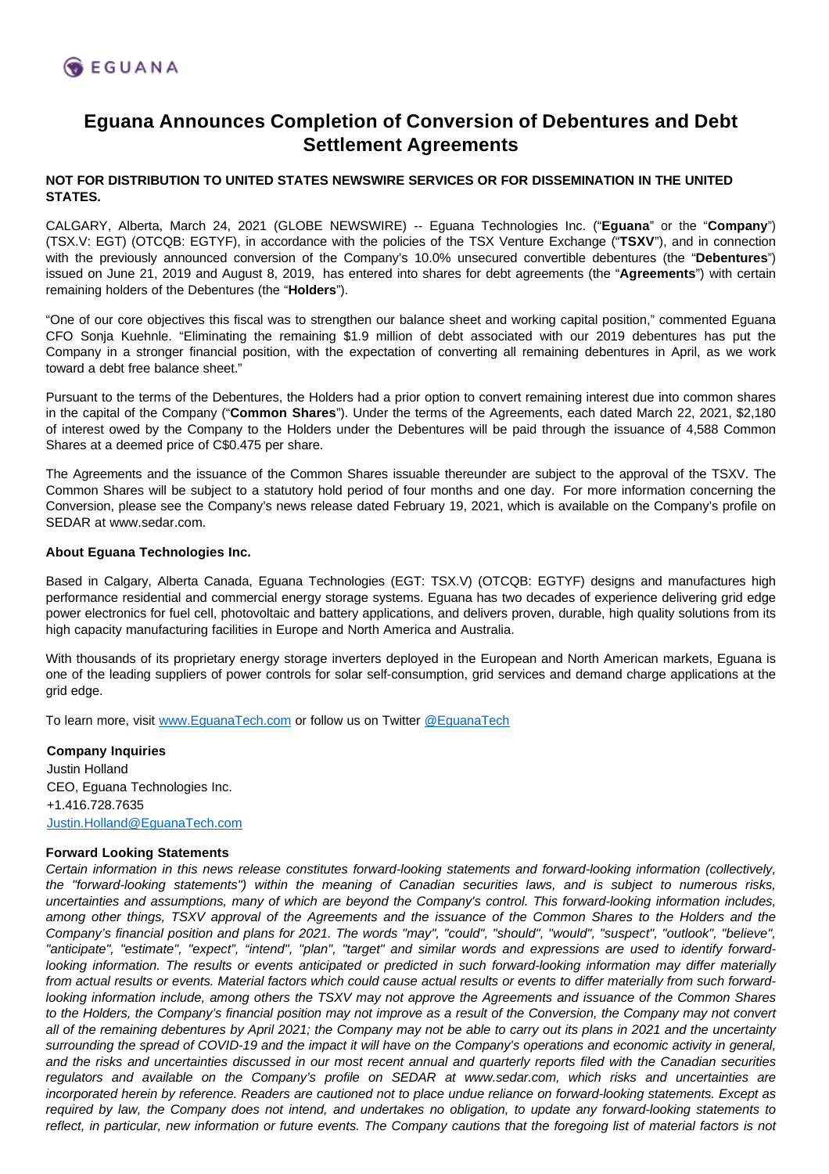

## **Eguana Announces Completion of Conversion of Debentures and Debt Settlement Agreements**

## **NOT FOR DISTRIBUTION TO UNITED STATES NEWSWIRE SERVICES OR FOR DISSEMINATION IN THE UNITED STATES.**

CALGARY, Alberta, March 24, 2021 (GLOBE NEWSWIRE) -- Eguana Technologies Inc. ("**Eguana**" or the "**Company**") (TSX.V: EGT) (OTCQB: EGTYF), in accordance with the policies of the TSX Venture Exchange ("**TSXV**"), and in connection with the previously announced conversion of the Company's 10.0% unsecured convertible debentures (the "**Debentures**") issued on June 21, 2019 and August 8, 2019, has entered into shares for debt agreements (the "**Agreements**") with certain remaining holders of the Debentures (the "**Holders**").

"One of our core objectives this fiscal was to strengthen our balance sheet and working capital position," commented Eguana CFO Sonja Kuehnle. "Eliminating the remaining \$1.9 million of debt associated with our 2019 debentures has put the Company in a stronger financial position, with the expectation of converting all remaining debentures in April, as we work toward a debt free balance sheet."

Pursuant to the terms of the Debentures, the Holders had a prior option to convert remaining interest due into common shares in the capital of the Company ("**Common Shares**"). Under the terms of the Agreements, each dated March 22, 2021, \$2,180 of interest owed by the Company to the Holders under the Debentures will be paid through the issuance of 4,588 Common Shares at a deemed price of C\$0.475 per share.

The Agreements and the issuance of the Common Shares issuable thereunder are subject to the approval of the TSXV. The Common Shares will be subject to a statutory hold period of four months and one day. For more information concerning the Conversion, please see the Company's news release dated February 19, 2021, which is available on the Company's profile on SEDAR at www.sedar.com.

## **About Eguana Technologies Inc.**

Based in Calgary, Alberta Canada, Eguana Technologies (EGT: TSX.V) (OTCQB: EGTYF) designs and manufactures high performance residential and commercial energy storage systems. Eguana has two decades of experience delivering grid edge power electronics for fuel cell, photovoltaic and battery applications, and delivers proven, durable, high quality solutions from its high capacity manufacturing facilities in Europe and North America and Australia.

With thousands of its proprietary energy storage inverters deployed in the European and North American markets, Eguana is one of the leading suppliers of power controls for solar self-consumption, grid services and demand charge applications at the grid edge.

To learn more, visit [www.EguanaTech.com](http://www.eguanatech.com/) or follow us on Twitter [@EguanaTech](https://twitter.com/EguanaTech)

**Company Inquiries** Justin Holland CEO, Eguana Technologies Inc. +1.416.728.7635 [Justin.Holland@EguanaTech.com](mailto:Justin.Holland@EguanaTech.com)

## **Forward Looking Statements**

Certain information in this news release constitutes forward-looking statements and forward-looking information (collectively, the "forward-looking statements") within the meaning of Canadian securities laws, and is subject to numerous risks, uncertainties and assumptions, many of which are beyond the Company's control. This forward-looking information includes, among other things, TSXV approval of the Agreements and the issuance of the Common Shares to the Holders and the Company's financial position and plans for 2021. The words "may", "could", "should", "would", "suspect", "outlook", "believe", "anticipate", "estimate", "expect", "intend", "plan", "target" and similar words and expressions are used to identify forwardlooking information. The results or events anticipated or predicted in such forward-looking information may differ materially from actual results or events. Material factors which could cause actual results or events to differ materially from such forwardlooking information include, among others the TSXV may not approve the Agreements and issuance of the Common Shares to the Holders, the Company's financial position may not improve as a result of the Conversion, the Company may not convert all of the remaining debentures by April 2021; the Company may not be able to carry out its plans in 2021 and the uncertainty surrounding the spread of COVID-19 and the impact it will have on the Company's operations and economic activity in general, and the risks and uncertainties discussed in our most recent annual and quarterly reports filed with the Canadian securities regulators and available on the Company's profile on SEDAR at www.sedar.com, which risks and uncertainties are incorporated herein by reference. Readers are cautioned not to place undue reliance on forward-looking statements. Except as required by law, the Company does not intend, and undertakes no obligation, to update any forward-looking statements to reflect, in particular, new information or future events. The Company cautions that the foregoing list of material factors is not